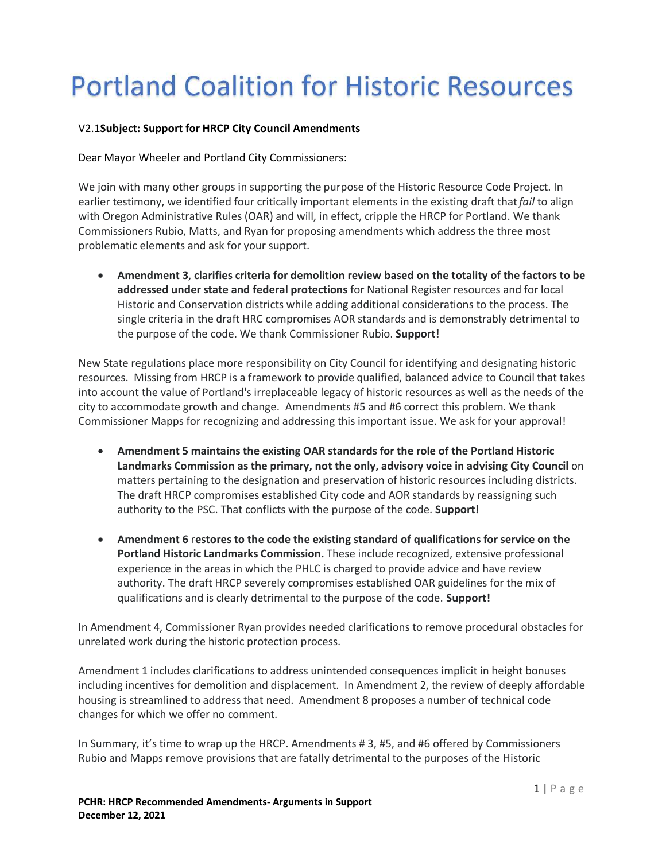## **Portland Coalition for Historic Resources**

## V2.1**Subject: Support for HRCP City Council Amendments**

Dear Mayor Wheeler and Portland City Commissioners:

We join with many other groups in supporting the purpose of the Historic Resource Code Project. In earlier testimony, we identified four critically important elements in the existing draft that*fail* to align with Oregon Administrative Rules (OAR) and will, in effect, cripple the HRCP for Portland. We thank Commissioners Rubio, Matts, and Ryan for proposing amendments which address the three most problematic elements and ask for your support.

· **Amendment 3**, **clarifies criteria for demolition review based on the totality of the factors to be addressed under state and federal protections** for National Register resources and for local Historic and Conservation districts while adding additional considerations to the process. The single criteria in the draft HRC compromises AOR standards and is demonstrably detrimental to the purpose of the code. We thank Commissioner Rubio. **Support!**

New State regulations place more responsibility on City Council for identifying and designating historic resources. Missing from HRCP is a framework to provide qualified, balanced advice to Council that takes into account the value of Portland's irreplaceable legacy of historic resources as well as the needs of the city to accommodate growth and change. Amendments #5 and #6 correct this problem. We thank Commissioner Mapps for recognizing and addressing this important issue. We ask for your approval!

- · **Amendment 5 maintains the existing OAR standards for the role of the Portland Historic Landmarks Commission as the primary, not the only, advisory voice in advising City Council** on matters pertaining to the designation and preservation of historic resources including districts. The draft HRCP compromises established City code and AOR standards by reassigning such authority to the PSC. That conflicts with the purpose of the code. **Support!**
- · **Amendment 6** r**estores to the code the existing standard of qualifications for service on the Portland Historic Landmarks Commission.** These include recognized, extensive professional experience in the areas in which the PHLC is charged to provide advice and have review authority. The draft HRCP severely compromises established OAR guidelines for the mix of qualifications and is clearly detrimental to the purpose of the code. **Support!**

In Amendment 4, Commissioner Ryan provides needed clarifications to remove procedural obstacles for unrelated work during the historic protection process.

Amendment 1 includes clarifications to address unintended consequences implicit in height bonuses including incentives for demolition and displacement. In Amendment 2, the review of deeply affordable housing is streamlined to address that need. Amendment 8 proposes a number of technical code changes for which we offer no comment.

In Summary, it's time to wrap up the HRCP. Amendments # 3, #5, and #6 offered by Commissioners Rubio and Mapps remove provisions that are fatally detrimental to the purposes of the Historic